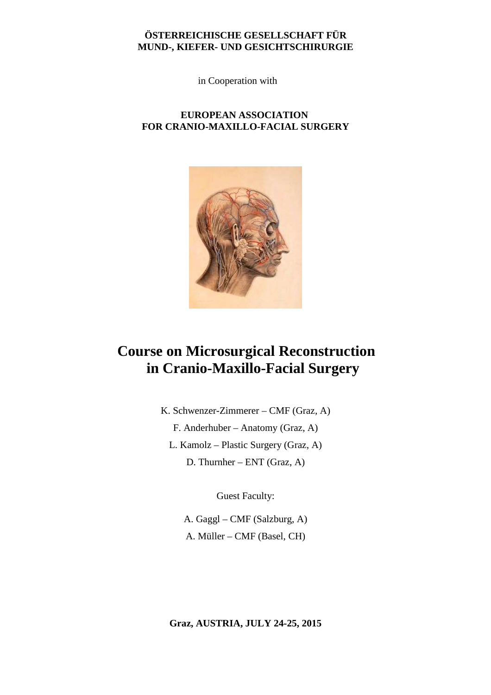### **ÖSTERREICHISCHE GESELLSCHAFT FÜR MUND-, KIEFER- UND GESICHTSCHIRURGIE**

in Cooperation with

## **EUROPEAN ASSOCIATION FOR CRANIO-MAXILLO-FACIAL SURGERY**



# **Course on Microsurgical Reconstruction in Cranio-Maxillo-Facial Surgery**

K. Schwenzer-Zimmerer – CMF (Graz, A) F. Anderhuber – Anatomy (Graz, A) L. Kamolz – Plastic Surgery (Graz, A) D. Thurnher – ENT (Graz, A)

Guest Faculty:

A. Gaggl – CMF (Salzburg, A) A. Müller – CMF (Basel, CH)

**Graz, AUSTRIA, JULY 24-25, 2015**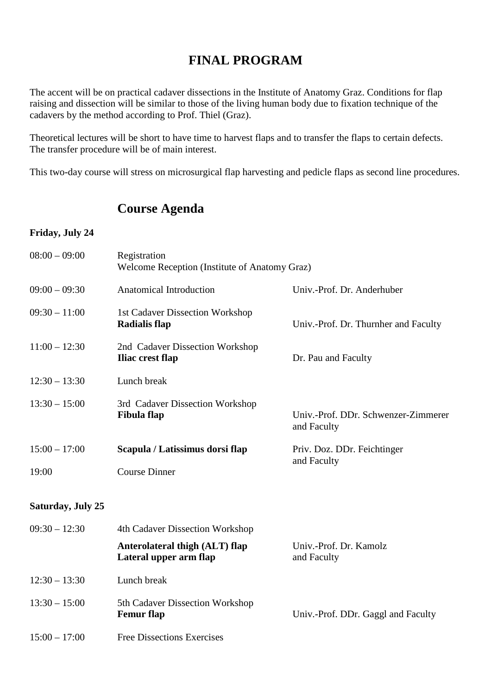# **FINAL PROGRAM**

The accent will be on practical cadaver dissections in the Institute of Anatomy Graz. Conditions for flap raising and dissection will be similar to those of the living human body due to fixation technique of the cadavers by the method according to Prof. Thiel (Graz).

Theoretical lectures will be short to have time to harvest flaps and to transfer the flaps to certain defects. The transfer procedure will be of main interest.

This two-day course will stress on microsurgical flap harvesting and pedicle flaps as second line procedures.

## **Course Agenda**

#### **Friday, July 24**

| $08:00 - 09:00$          | Registration<br>Welcome Reception (Institute of Anatomy Graz) |                                                    |
|--------------------------|---------------------------------------------------------------|----------------------------------------------------|
| $09:00 - 09:30$          | <b>Anatomical Introduction</b>                                | Univ.-Prof. Dr. Anderhuber                         |
| $09:30 - 11:00$          | 1st Cadaver Dissection Workshop<br><b>Radialis flap</b>       | Univ.-Prof. Dr. Thurnher and Faculty               |
| $11:00 - 12:30$          | 2nd Cadaver Dissection Workshop<br>Iliac crest flap           | Dr. Pau and Faculty                                |
| $12:30 - 13:30$          | Lunch break                                                   |                                                    |
| $13:30 - 15:00$          | 3rd Cadaver Dissection Workshop<br><b>Fibula</b> flap         | Univ.-Prof. DDr. Schwenzer-Zimmerer<br>and Faculty |
| $15:00 - 17:00$          | Scapula / Latissimus dorsi flap                               | Priv. Doz. DDr. Feichtinger                        |
| 19:00                    | <b>Course Dinner</b>                                          | and Faculty                                        |
| <b>Saturday, July 25</b> |                                                               |                                                    |
| $09:30 - 12:30$          | 4th Cadaver Dissection Workshop                               |                                                    |
|                          | Anterolateral thigh (ALT) flap<br>Lateral upper arm flap      | Univ.-Prof. Dr. Kamolz<br>and Faculty              |
| $12:30 - 13:30$          | Lunch break                                                   |                                                    |
| $13:30 - 15:00$          | 5th Cadaver Dissection Workshop<br><b>Femur</b> flap          | Univ.-Prof. DDr. Gaggl and Faculty                 |
| $15:00 - 17:00$          | <b>Free Dissections Exercises</b>                             |                                                    |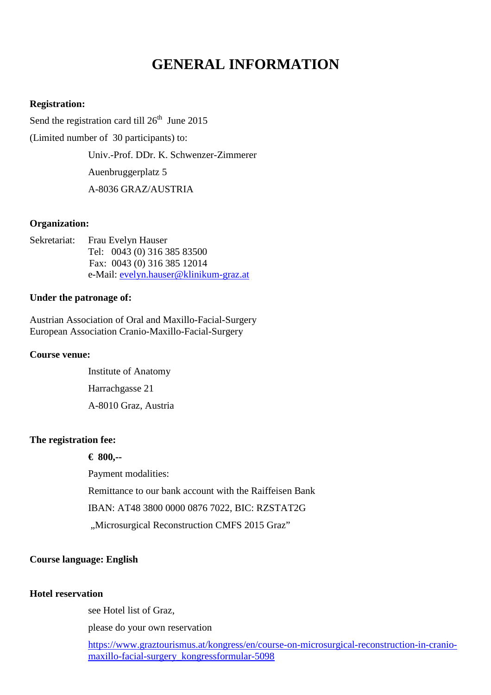# **GENERAL INFORMATION**

#### **Registration:**

Send the registration card till  $26<sup>th</sup>$  June 2015

(Limited number of 30 participants) to:

Univ.-Prof. DDr. K. Schwenzer-Zimmerer

Auenbruggerplatz 5

A-8036 GRAZ/AUSTRIA

#### **Organization:**

Sekretariat: Frau Evelyn Hauser Tel: 0043 (0) 316 385 83500 Fax: 0043 (0) 316 385 12014 e-Mail: evelyn.hauser@klinikum-graz.at

#### **Under the patronage of:**

Austrian Association of Oral and Maxillo-Facial-Surgery European Association Cranio-Maxillo-Facial-Surgery

#### **Course venue:**

 Institute of Anatomy Harrachgasse 21 A-8010 Graz, Austria

## **The registration fee:**

 **€ 800,--** 

Payment modalities:

Remittance to our bank account with the Raiffeisen Bank

IBAN: AT48 3800 0000 0876 7022, BIC: RZSTAT2G

"Microsurgical Reconstruction CMFS 2015 Graz"

#### **Course language: English**

#### **Hotel reservation**

see Hotel list of Graz,

please do your own reservation

https://www.graztourismus.at/kongress/en/course-on-microsurgical-reconstruction-in-craniomaxillo-facial-surgery\_kongressformular-5098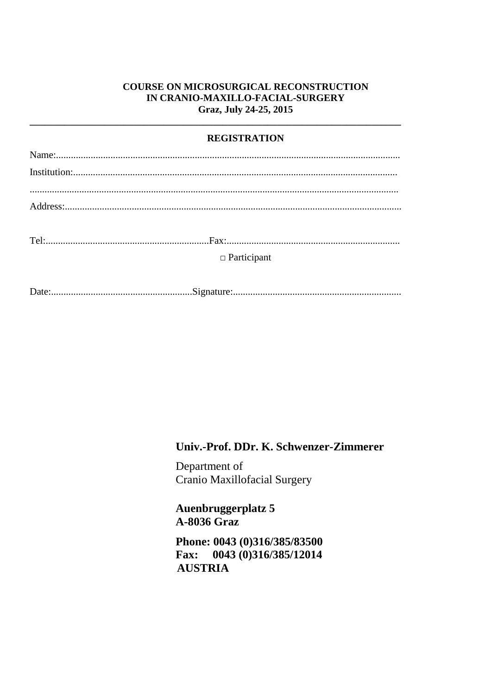## **COURSE ON MICROSURGICAL RECONSTRUCTION** IN CRANIO-MAXILLO-FACIAL-SURGERY Graz, July 24-25, 2015

## **REGISTRATION**

| $\Box$ Participant |  |
|--------------------|--|
|                    |  |
|                    |  |

## Univ.-Prof. DDr. K. Schwenzer-Zimmerer

Department of Cranio Maxillofacial Surgery

Auenbruggerplatz 5 **A-8036 Graz** 

Phone: 0043 (0)316/385/83500 0043 (0)316/385/12014 **Fax: AUSTRIA**